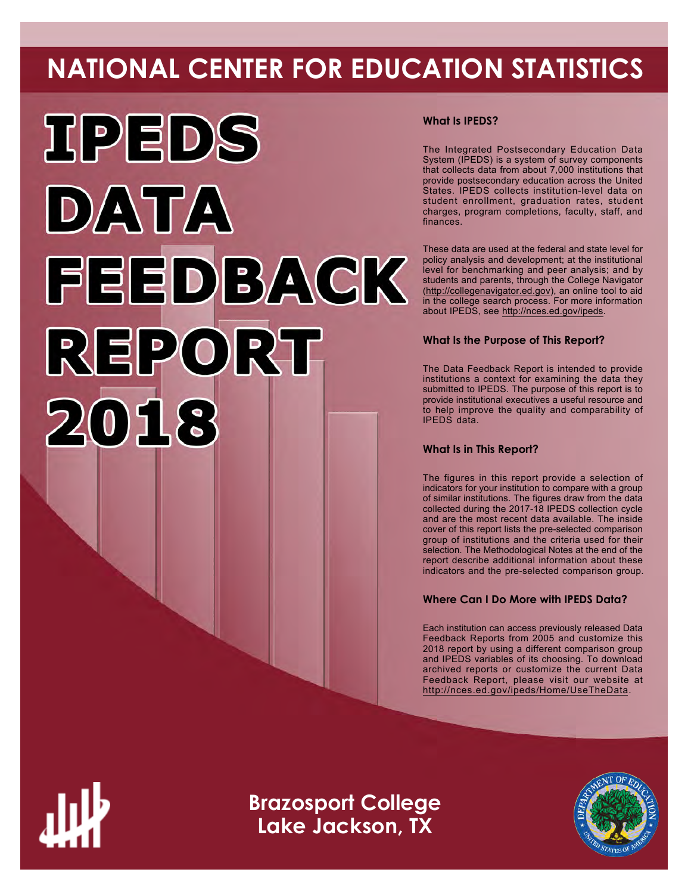# **NATIONAL CENTER FOR EDUCATION STATISTICS**



# **What Is IPEDS?**

The Integrated Postsecondary Education Data System (IPEDS) is a system of survey components that collects data from about 7,000 institutions that provide postsecondary education across the United States. IPEDS collects institution-level data on student enrollment, graduation rates, student charges, program completions, faculty, staff, and finances.

These data are used at the federal and state level for policy analysis and development; at the institutional level for benchmarking and peer analysis; and by students and parents, through the College Navigator ([http://collegenavigator.ed.gov\)](http://collegenavigator.ed.gov), an online tool to aid in the college search process. For more information about IPEDS, see [http://nces.ed.gov/ipeds.](http://nces.ed.gov/ipeds)

# **What Is the Purpose of This Report?**

The Data Feedback Report is intended to provide institutions a context for examining the data they submitted to IPEDS. The purpose of this report is to provide institutional executives a useful resource and to help improve the quality and comparability of IPEDS data.

# **What Is in This Report?**

The figures in this report provide a selection of indicators for your institution to compare with a group of similar institutions. The figures draw from the data collected during the 2017-18 IPEDS collection cycle and are the most recent data available. The inside cover of this report lists the pre-selected comparison group of institutions and the criteria used for their selection. The Methodological Notes at the end of the report describe additional information about these indicators and the pre-selected comparison group.

# **Where Can I Do More with IPEDS Data?**

Each institution can access previously released Data Feedback Reports from 2005 and customize this 2018 report by using a different comparison group and IPEDS variables of its choosing. To download archived reports or customize the current Data Feedback Report, please visit our website at <http://nces.ed.gov/ipeds/Home/UseTheData>.



**Brazosport College Lake Jackson, TX**

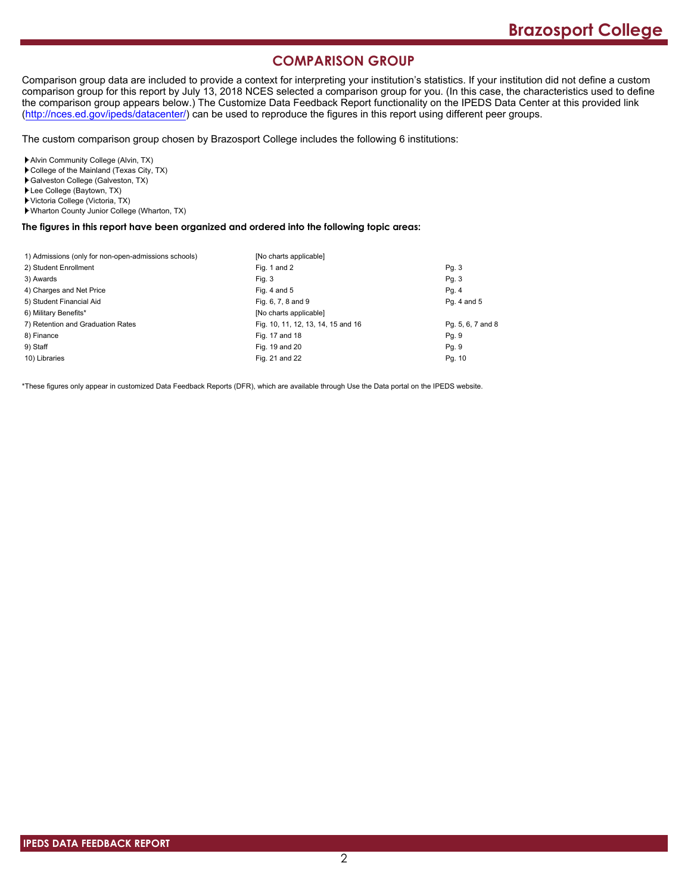# **COMPARISON GROUP**

Comparison group data are included to provide a context for interpreting your institution's statistics. If your institution did not define a custom comparison group for this report by July 13, 2018 NCES selected a comparison group for you. (In this case, the characteristics used to define the comparison group appears below.) The Customize Data Feedback Report functionality on the IPEDS Data Center at this provided link [\(http://nces.ed.gov/ipeds/datacenter/\)](http://nces.ed.gov/ipeds/datacenter/) can be used to reproduce the figures in this report using different peer groups.

The custom comparison group chosen by Brazosport College includes the following 6 institutions:

Alvin Community College (Alvin, TX)

- College of the Mainland (Texas City, TX)
- Galveston College (Galveston, TX)
- Lee College (Baytown, TX)
- Victoria College (Victoria, TX)
- Wharton County Junior College (Wharton, TX)

#### **The figures in this report have been organized and ordered into the following topic areas:**

| 1) Admissions (only for non-open-admissions schools) | [No charts applicable]             |                   |
|------------------------------------------------------|------------------------------------|-------------------|
| 2) Student Enrollment                                | Fig. 1 and 2                       | Pg. 3             |
| 3) Awards                                            | Fig. 3                             | Pg. 3             |
| 4) Charges and Net Price                             | Fig. 4 and $5$                     | Pg. 4             |
| 5) Student Financial Aid                             | Fig. 6, 7, 8 and 9                 | Pg. 4 and 5       |
| 6) Military Benefits*                                | [No charts applicable]             |                   |
| 7) Retention and Graduation Rates                    | Fig. 10, 11, 12, 13, 14, 15 and 16 | Pg. 5, 6, 7 and 8 |
| 8) Finance                                           | Fig. 17 and 18                     | Pg. 9             |
| 9) Staff                                             | Fig. 19 and 20                     | Pg. 9             |
| 10) Libraries                                        | Fig. 21 and 22                     | Pg. 10            |

\*These figures only appear in customized Data Feedback Reports (DFR), which are available through Use the Data portal on the IPEDS website.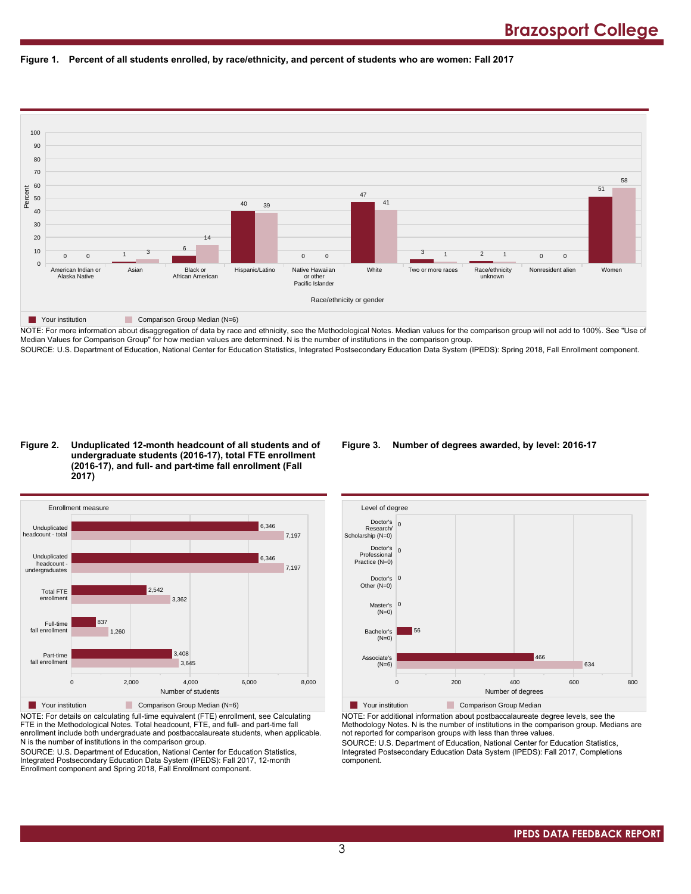



NOTE: For more information about disaggregation of data by race and ethnicity, see the Methodological Notes. Median values for the comparison group will not add to 100%. See "Use of Median Values for Comparison Group" for how median values are determined. N is the number of institutions in the comparison group. SOURCE: U.S. Department of Education, National Center for Education Statistics, Integrated Postsecondary Education Data System (IPEDS): Spring 2018, Fall Enrollment component.

#### **Figure 2. Unduplicated 12-month headcount of all students and of undergraduate students (2016-17), total FTE enrollment (2016-17), and full- and part-time fall enrollment (Fall 2017)**



NOTE: For details on calculating full-time equivalent (FTE) enrollment, see Calculating FTE in the Methodological Notes. Total headcount, FTE, and full- and part-time fall enrollment include both undergraduate and postbaccalaureate students, when applicable. N is the number of institutions in the comparison group.

SOURCE: U.S. Department of Education, National Center for Education Statistics, Integrated Postsecondary Education Data System (IPEDS): Fall 2017, 12-month Enrollment component and Spring 2018, Fall Enrollment component.

# **Figure 3. Number of degrees awarded, by level: 2016-17**



NOTE: For additional information about postbaccalaureate degree levels, see the Methodology Notes. N is the number of institutions in the comparison group. Medians are not reported for comparison groups with less than three values.

SOURCE: U.S. Department of Education, National Center for Education Statistics, Integrated Postsecondary Education Data System (IPEDS): Fall 2017, Completions component.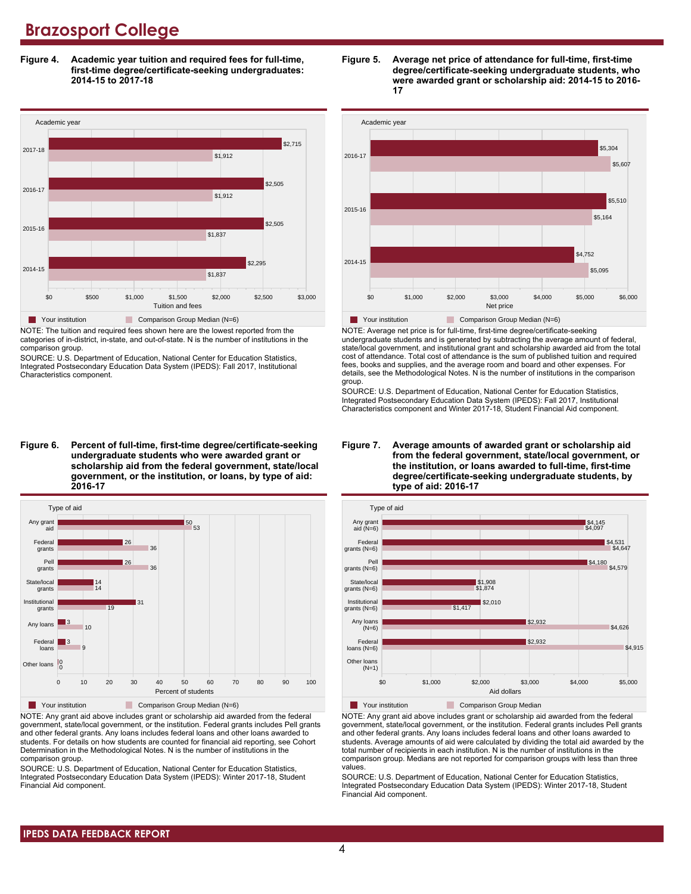**Figure 4. Academic year tuition and required fees for full-time, first-time degree/certificate-seeking undergraduates: 2014-15 to 2017-18**



NOTE: The tuition and required fees shown here are the lowest reported from the categories of in-district, in-state, and out-of-state. N is the number of institutions in the comparison group.

SOURCE: U.S. Department of Education, National Center for Education Statistics, Integrated Postsecondary Education Data System (IPEDS): Fall 2017, Institutional Characteristics component.

**Figure 6. Percent of full-time, first-time degree/certificate-seeking undergraduate students who were awarded grant or scholarship aid from the federal government, state/local government, or the institution, or loans, by type of aid: 2016-17**



NOTE: Any grant aid above includes grant or scholarship aid awarded from the federal government, state/local government, or the institution. Federal grants includes Pell grants and other federal grants. Any loans includes federal loans and other loans awarded to students. For details on how students are counted for financial aid reporting, see Cohort Determination in the Methodological Notes. N is the number of institutions in the comparison group.

SOURCE: U.S. Department of Education, National Center for Education Statistics, Integrated Postsecondary Education Data System (IPEDS): Winter 2017-18, Student Financial Aid component.





NOTE: Average net price is for full-time, first-time degree/certificate-seeking undergraduate students and is generated by subtracting the average amount of federal, state/local government, and institutional grant and scholarship awarded aid from the total cost of attendance. Total cost of attendance is the sum of published tuition and required fees, books and supplies, and the average room and board and other expenses. For details, see the Methodological Notes. N is the number of institutions in the comparison group.

SOURCE: U.S. Department of Education, National Center for Education Statistics, Integrated Postsecondary Education Data System (IPEDS): Fall 2017, Institutional Characteristics component and Winter 2017-18, Student Financial Aid component.





**The Your institution Comparison Group Median** 

NOTE: Any grant aid above includes grant or scholarship aid awarded from the federal government, state/local government, or the institution. Federal grants includes Pell grants and other federal grants. Any loans includes federal loans and other loans awarded to students. Average amounts of aid were calculated by dividing the total aid awarded by the total number of recipients in each institution. N is the number of institutions in the comparison group. Medians are not reported for comparison groups with less than three values.

SOURCE: U.S. Department of Education, National Center for Education Statistics, Integrated Postsecondary Education Data System (IPEDS): Winter 2017-18, Student Financial Aid component.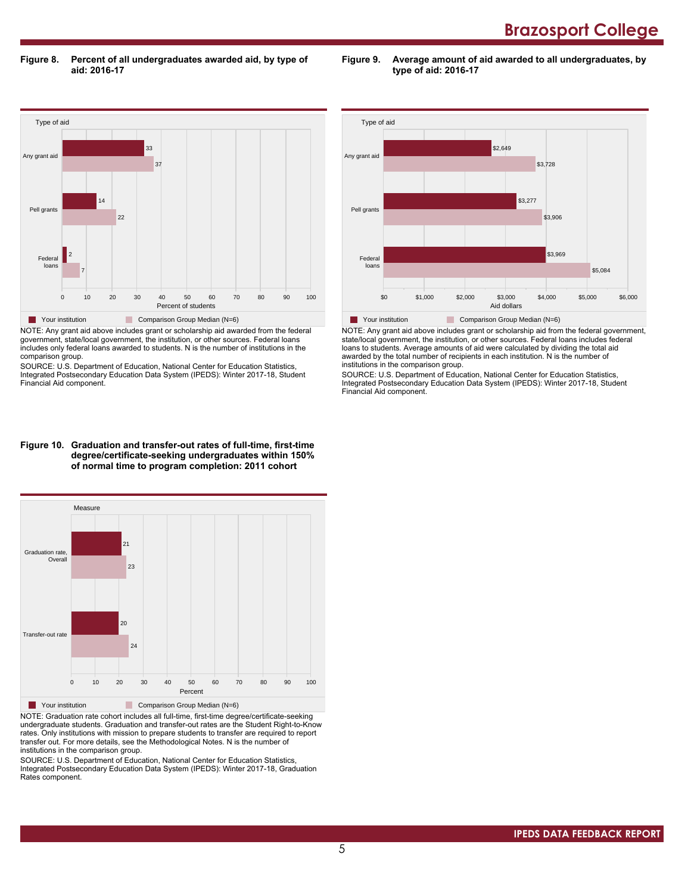**Figure 8. Percent of all undergraduates awarded aid, by type of aid: 2016-17**

**Figure 9. Average amount of aid awarded to all undergraduates, by type of aid: 2016-17**



NOTE: Any grant aid above includes grant or scholarship aid awarded from the federal government, state/local government, the institution, or other sources. Federal loans includes only federal loans awarded to students. N is the number of institutions in the comparison group.

SOURCE: U.S. Department of Education, National Center for Education Statistics, Integrated Postsecondary Education Data System (IPEDS): Winter 2017-18, Student Financial Aid component.



NOTE: Any grant aid above includes grant or scholarship aid from the federal government, state/local government, the institution, or other sources. Federal loans includes federal loans to students. Average amounts of aid were calculated by dividing the total aid awarded by the total number of recipients in each institution. N is the number of institutions in the comparison group.

SOURCE: U.S. Department of Education, National Center for Education Statistics, Integrated Postsecondary Education Data System (IPEDS): Winter 2017-18, Student Financial Aid component.

#### **Figure 10. Graduation and transfer-out rates of full-time, first-time degree/certificate-seeking undergraduates within 150% of normal time to program completion: 2011 cohort**



NOTE: Graduation rate cohort includes all full-time, first-time degree/certificate-seeking undergraduate students. Graduation and transfer-out rates are the Student Right-to-Know rates. Only institutions with mission to prepare students to transfer are required to report transfer out. For more details, see the Methodological Notes. N is the number of institutions in the comparison group.

SOURCE: U.S. Department of Education, National Center for Education Statistics, Integrated Postsecondary Education Data System (IPEDS): Winter 2017-18, Graduation Rates component.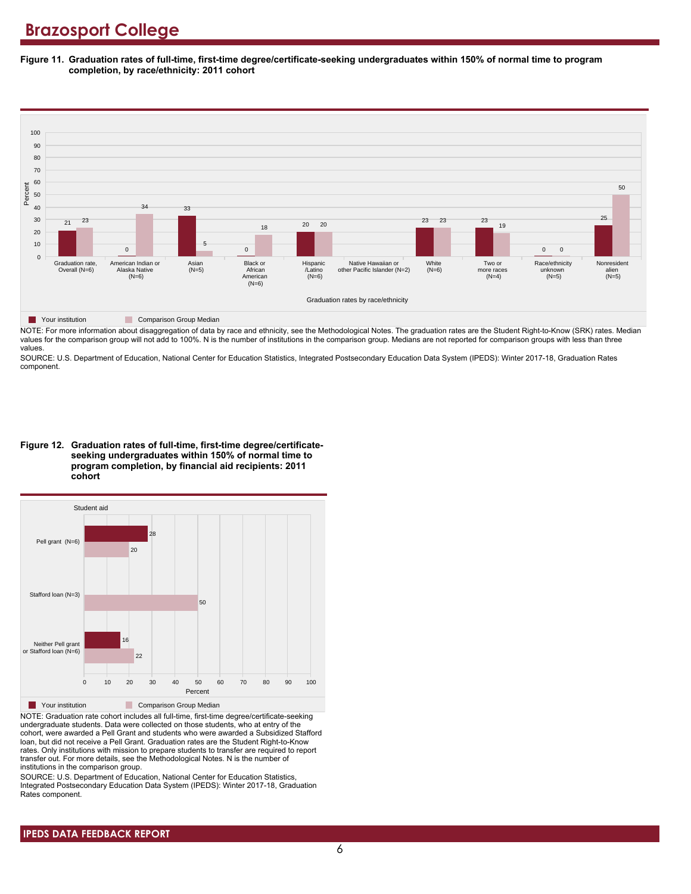**Figure 11. Graduation rates of full-time, first-time degree/certificate-seeking undergraduates within 150% of normal time to program completion, by race/ethnicity: 2011 cohort**



NOTE: For more information about disaggregation of data by race and ethnicity, see the Methodological Notes. The graduation rates are the Student Right-to-Know (SRK) rates. Median values for the comparison group will not add to 100%. N is the number of institutions in the comparison group. Medians are not reported for comparison groups with less than three values.

SOURCE: U.S. Department of Education, National Center for Education Statistics, Integrated Postsecondary Education Data System (IPEDS): Winter 2017-18, Graduation Rates component.

**Figure 12. Graduation rates of full-time, first-time degree/certificateseeking undergraduates within 150% of normal time to program completion, by financial aid recipients: 2011 cohort**



NOTE: Graduation rate cohort includes all full-time, first-time degree/certificate-seeking undergraduate students. Data were collected on those students, who at entry of the cohort, were awarded a Pell Grant and students who were awarded a Subsidized Stafford loan, but did not receive a Pell Grant. Graduation rates are the Student Right-to-Know rates. Only institutions with mission to prepare students to transfer are required to report transfer out. For more details, see the Methodological Notes. N is the number of institutions in the comparison group.

SOURCE: U.S. Department of Education, National Center for Education Statistics, Integrated Postsecondary Education Data System (IPEDS): Winter 2017-18, Graduation Rates component.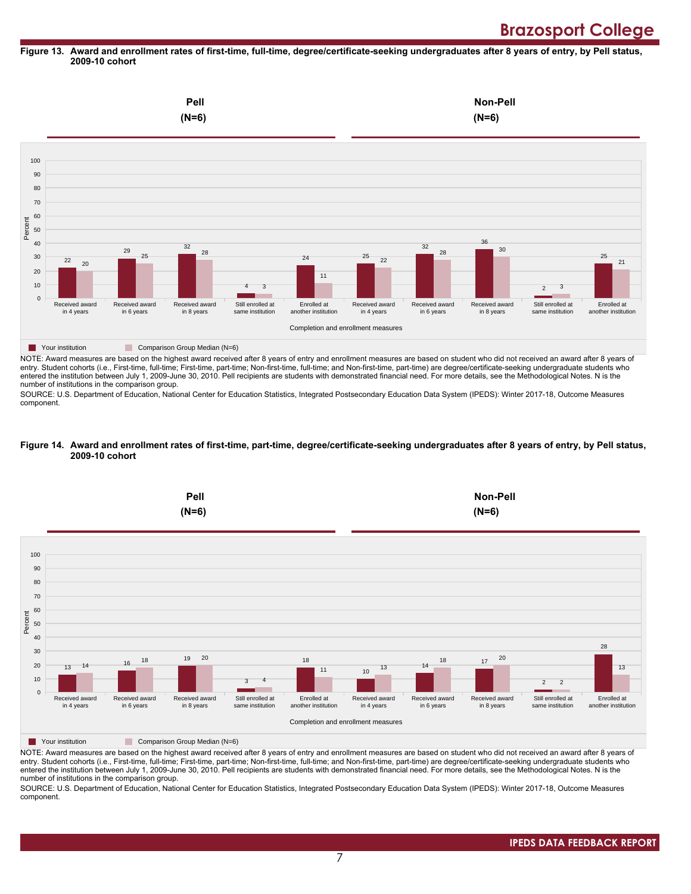#### **Figure 13. Award and enrollment rates of first-time, full-time, degree/certificate-seeking undergraduates after 8 years of entry, by Pell status, 2009-10 cohort**



NOTE: Award measures are based on the highest award received after 8 years of entry and enrollment measures are based on student who did not received an award after 8 years of entry. Student cohorts (i.e., First-time, full-time; First-time, part-time; Non-first-time, full-time; and Non-first-time, part-time) are degree/certificate-seeking undergraduate students who entered the institution between July 1, 2009-June 30, 2010. Pell recipients are students with demonstrated financial need. For more details, see the Methodological Notes. N is the number of institutions in the comparison group.

SOURCE: U.S. Department of Education, National Center for Education Statistics, Integrated Postsecondary Education Data System (IPEDS): Winter 2017-18, Outcome Measures component.

#### **Figure 14. Award and enrollment rates of first-time, part-time, degree/certificate-seeking undergraduates after 8 years of entry, by Pell status, 2009-10 cohort**



NOTE: Award measures are based on the highest award received after 8 years of entry and enrollment measures are based on student who did not received an award after 8 years of entry. Student cohorts (i.e., First-time, full-time; First-time, part-time; Non-first-time, full-time; and Non-first-time, part-time) are degree/certificate-seeking undergraduate students who entered the institution between July 1, 2009-June 30, 2010. Pell recipients are students with demonstrated financial need. For more details, see the Methodological Notes. N is the number of institutions in the comparison group.

SOURCE: U.S. Department of Education, National Center for Education Statistics, Integrated Postsecondary Education Data System (IPEDS): Winter 2017-18, Outcome Measures component.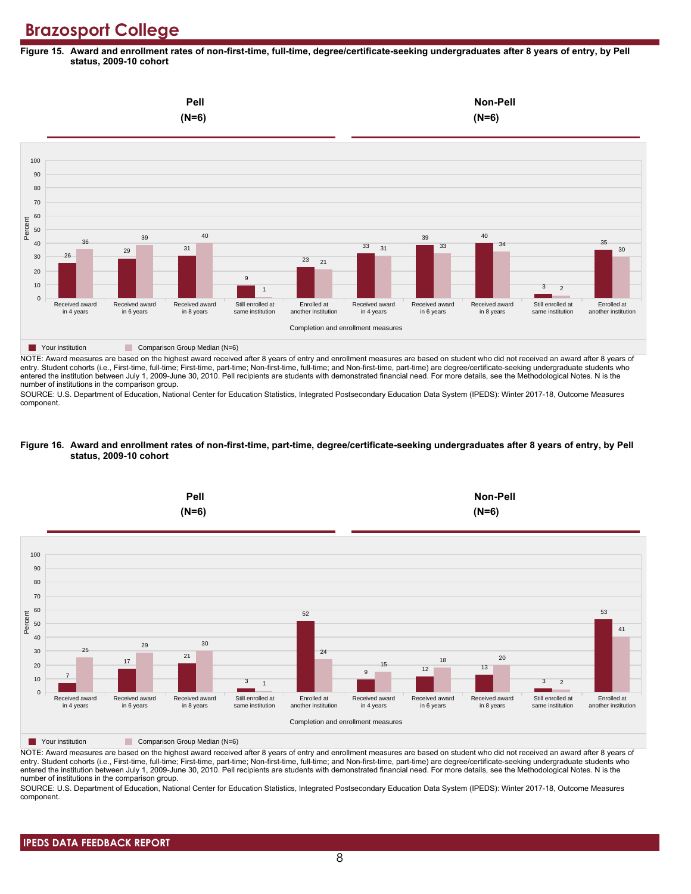**Figure 15. Award and enrollment rates of non-first-time, full-time, degree/certificate-seeking undergraduates after 8 years of entry, by Pell status, 2009-10 cohort**



NOTE: Award measures are based on the highest award received after 8 years of entry and enrollment measures are based on student who did not received an award after 8 years of entry. Student cohorts (i.e., First-time, full-time; First-time, part-time; Non-first-time, full-time; and Non-first-time, part-time) are degree/certificate-seeking undergraduate students who entered the institution between July 1, 2009-June 30, 2010. Pell recipients are students with demonstrated financial need. For more details, see the Methodological Notes. N is the number of institutions in the comparison group.

SOURCE: U.S. Department of Education, National Center for Education Statistics, Integrated Postsecondary Education Data System (IPEDS): Winter 2017-18, Outcome Measures component.

#### **Figure 16. Award and enrollment rates of non-first-time, part-time, degree/certificate-seeking undergraduates after 8 years of entry, by Pell status, 2009-10 cohort**



NOTE: Award measures are based on the highest award received after 8 years of entry and enrollment measures are based on student who did not received an award after 8 years of entry. Student cohorts (i.e., First-time, full-time; First-time, part-time; Non-first-time, full-time; and Non-first-time, part-time) are degree/certificate-seeking undergraduate students who entered the institution between July 1, 2009-June 30, 2010. Pell recipients are students with demonstrated financial need. For more details, see the Methodological Notes. N is the number of institutions in the comparison group.

SOURCE: U.S. Department of Education, National Center for Education Statistics, Integrated Postsecondary Education Data System (IPEDS): Winter 2017-18, Outcome Measures component.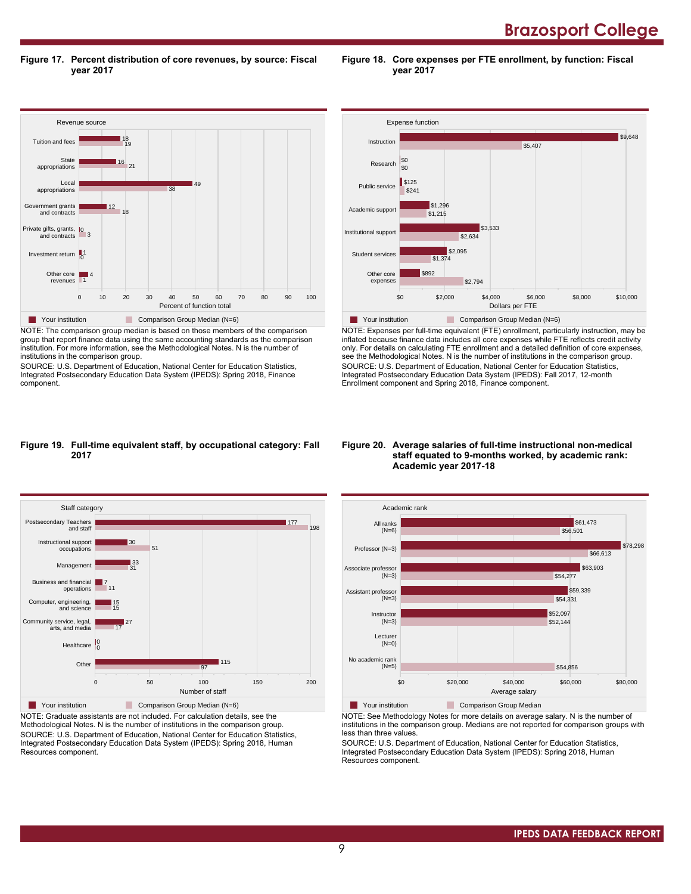**Brazosport College** 

**Figure 17. Percent distribution of core revenues, by source: Fiscal year 2017**

Revenue source 0 10 20 30 40 50 60 70 80 90 100 Percent of function total Other core revenues Investment return 1 Private gifts, grants, 10<br>and contracts 3 Government grants and contracts Local appropriations State appropriations Tuition and fees 1 4 18 | 12 38 49  $16$  21 19 18 ■ Your institution Comparison Group Median (N=6)

NOTE: The comparison group median is based on those members of the comparison group that report finance data using the same accounting standards as the comparison institution. For more information, see the Methodological Notes. N is the number of institutions in the comparison group.

SOURCE: U.S. Department of Education, National Center for Education Statistics, Integrated Postsecondary Education Data System (IPEDS): Spring 2018, Finance component.



**Figure 18. Core expenses per FTE enrollment, by function: Fiscal**

**year 2017**

NOTE: Expenses per full-time equivalent (FTE) enrollment, particularly instruction, may be inflated because finance data includes all core expenses while FTE reflects credit activity only. For details on calculating FTE enrollment and a detailed definition of core expenses, see the Methodological Notes. N is the number of institutions in the comparison group. SOURCE: U.S. Department of Education, National Center for Education Statistics, Integrated Postsecondary Education Data System (IPEDS): Fall 2017, 12-month Enrollment component and Spring 2018, Finance component.

#### **Figure 19. Full-time equivalent staff, by occupational category: Fall 2017**



NOTE: Graduate assistants are not included. For calculation details, see the Methodological Notes. N is the number of institutions in the comparison group. SOURCE: U.S. Department of Education, National Center for Education Statistics, Integrated Postsecondary Education Data System (IPEDS): Spring 2018, Human Resources component.

#### **Figure 20. Average salaries of full-time instructional non-medical staff equated to 9-months worked, by academic rank: Academic year 2017-18**



NOTE: See Methodology Notes for more details on average salary. N is the number of institutions in the comparison group. Medians are not reported for comparison groups with less than three values.

SOURCE: U.S. Department of Education, National Center for Education Statistics, Integrated Postsecondary Education Data System (IPEDS): Spring 2018, Human Resources component.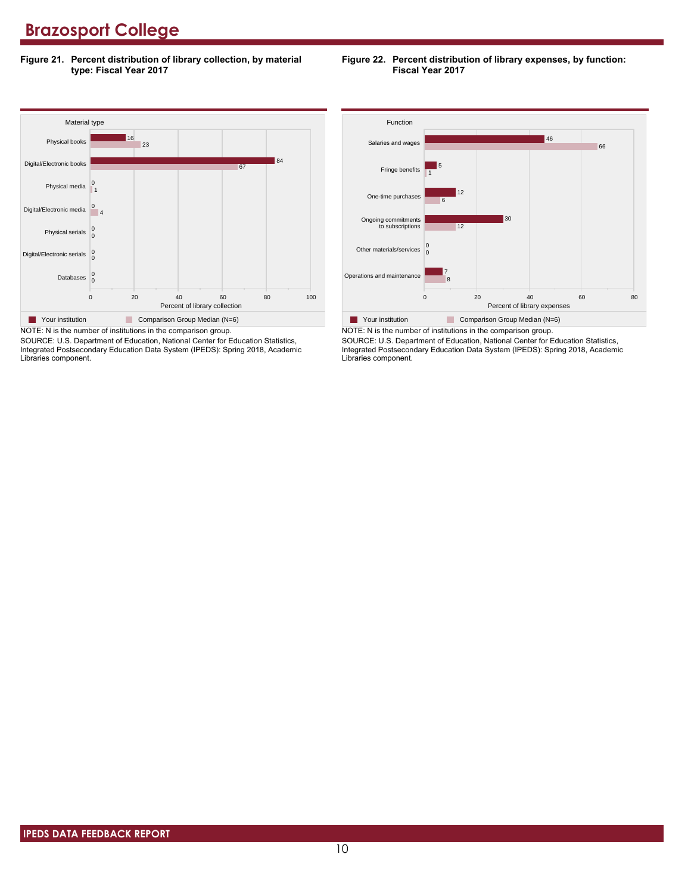**Figure 21. Percent distribution of library collection, by material type: Fiscal Year 2017**





SOURCE: U.S. Department of Education, National Center for Education Statistics, Integrated Postsecondary Education Data System (IPEDS): Spring 2018, Academic Libraries component.



SOURCE: U.S. Department of Education, National Center for Education Statistics, Integrated Postsecondary Education Data System (IPEDS): Spring 2018, Academic Libraries component.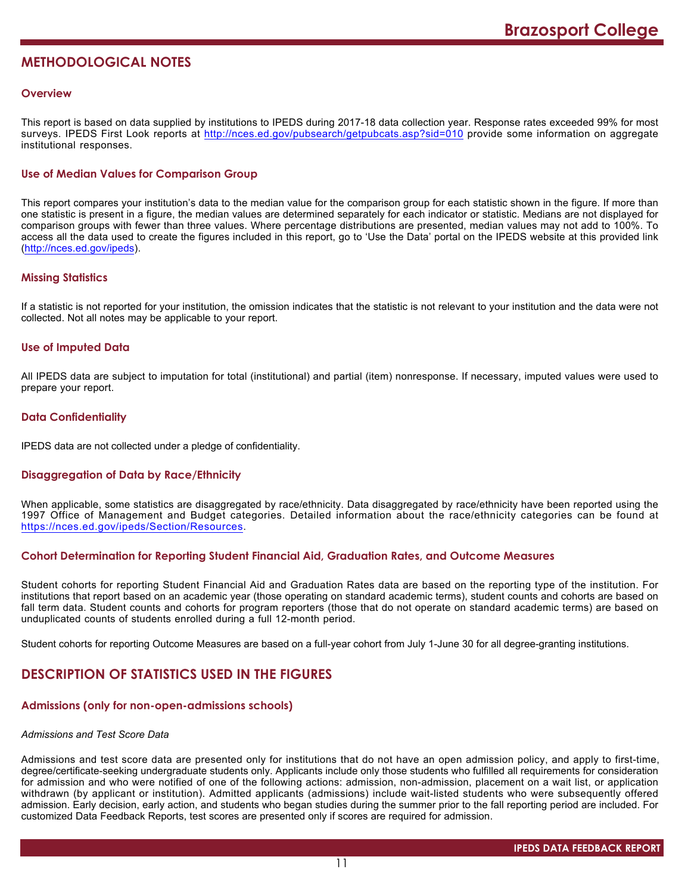# **METHODOLOGICAL NOTES**

## **Overview**

This report is based on data supplied by institutions to IPEDS during 2017-18 data collection year. Response rates exceeded 99% for most surveys. IPEDS First Look reports at <http://nces.ed.gov/pubsearch/getpubcats.asp?sid=010> provide some information on aggregate institutional responses.

# **Use of Median Values for Comparison Group**

This report compares your institution's data to the median value for the comparison group for each statistic shown in the figure. If more than one statistic is present in a figure, the median values are determined separately for each indicator or statistic. Medians are not displayed for comparison groups with fewer than three values. Where percentage distributions are presented, median values may not add to 100%. To access all the data used to create the figures included in this report, go to 'Use the Data' portal on the IPEDS website at this provided link (<http://nces.ed.gov/ipeds>).

# **Missing Statistics**

If a statistic is not reported for your institution, the omission indicates that the statistic is not relevant to your institution and the data were not collected. Not all notes may be applicable to your report.

# **Use of Imputed Data**

All IPEDS data are subject to imputation for total (institutional) and partial (item) nonresponse. If necessary, imputed values were used to prepare your report.

# **Data Confidentiality**

IPEDS data are not collected under a pledge of confidentiality.

# **Disaggregation of Data by Race/Ethnicity**

When applicable, some statistics are disaggregated by race/ethnicity. Data disaggregated by race/ethnicity have been reported using the 1997 Office of Management and Budget categories. Detailed information about the race/ethnicity categories can be found at <https://nces.ed.gov/ipeds/Section/Resources>.

# **Cohort Determination for Reporting Student Financial Aid, Graduation Rates, and Outcome Measures**

Student cohorts for reporting Student Financial Aid and Graduation Rates data are based on the reporting type of the institution. For institutions that report based on an academic year (those operating on standard academic terms), student counts and cohorts are based on fall term data. Student counts and cohorts for program reporters (those that do not operate on standard academic terms) are based on unduplicated counts of students enrolled during a full 12-month period.

Student cohorts for reporting Outcome Measures are based on a full-year cohort from July 1-June 30 for all degree-granting institutions.

# **DESCRIPTION OF STATISTICS USED IN THE FIGURES**

# **Admissions (only for non-open-admissions schools)**

#### *Admissions and Test Score Data*

Admissions and test score data are presented only for institutions that do not have an open admission policy, and apply to first-time, degree/certificate-seeking undergraduate students only. Applicants include only those students who fulfilled all requirements for consideration for admission and who were notified of one of the following actions: admission, non-admission, placement on a wait list, or application withdrawn (by applicant or institution). Admitted applicants (admissions) include wait-listed students who were subsequently offered admission. Early decision, early action, and students who began studies during the summer prior to the fall reporting period are included. For customized Data Feedback Reports, test scores are presented only if scores are required for admission.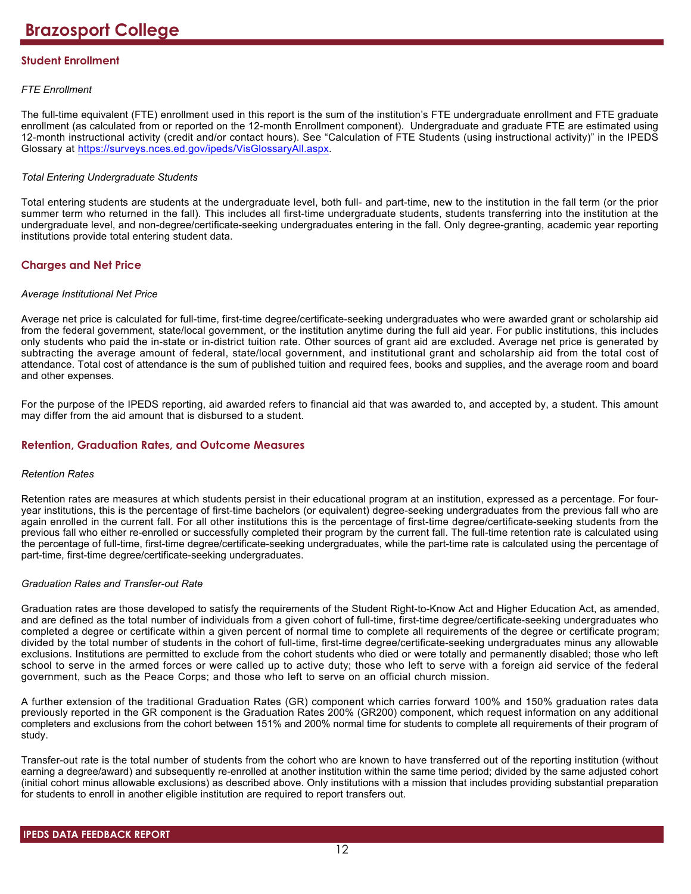# **Student Enrollment**

# *FTE Enrollment*

The full-time equivalent (FTE) enrollment used in this report is the sum of the institution's FTE undergraduate enrollment and FTE graduate enrollment (as calculated from or reported on the 12-month Enrollment component). Undergraduate and graduate FTE are estimated using 12-month instructional activity (credit and/or contact hours). See "Calculation of FTE Students (using instructional activity)" in the IPEDS Glossary at <https://surveys.nces.ed.gov/ipeds/VisGlossaryAll.aspx>.

# *Total Entering Undergraduate Students*

Total entering students are students at the undergraduate level, both full- and part-time, new to the institution in the fall term (or the prior summer term who returned in the fall). This includes all first-time undergraduate students, students transferring into the institution at the undergraduate level, and non-degree/certificate-seeking undergraduates entering in the fall. Only degree-granting, academic year reporting institutions provide total entering student data.

# **Charges and Net Price**

#### *Average Institutional Net Price*

Average net price is calculated for full-time, first-time degree/certificate-seeking undergraduates who were awarded grant or scholarship aid from the federal government, state/local government, or the institution anytime during the full aid year. For public institutions, this includes only students who paid the in-state or in-district tuition rate. Other sources of grant aid are excluded. Average net price is generated by subtracting the average amount of federal, state/local government, and institutional grant and scholarship aid from the total cost of attendance. Total cost of attendance is the sum of published tuition and required fees, books and supplies, and the average room and board and other expenses.

For the purpose of the IPEDS reporting, aid awarded refers to financial aid that was awarded to, and accepted by, a student. This amount may differ from the aid amount that is disbursed to a student.

# **Retention, Graduation Rates, and Outcome Measures**

#### *Retention Rates*

Retention rates are measures at which students persist in their educational program at an institution, expressed as a percentage. For fouryear institutions, this is the percentage of first-time bachelors (or equivalent) degree-seeking undergraduates from the previous fall who are again enrolled in the current fall. For all other institutions this is the percentage of first-time degree/certificate-seeking students from the previous fall who either re-enrolled or successfully completed their program by the current fall. The full-time retention rate is calculated using the percentage of full-time, first-time degree/certificate-seeking undergraduates, while the part-time rate is calculated using the percentage of part-time, first-time degree/certificate-seeking undergraduates.

# *Graduation Rates and Transfer-out Rate*

Graduation rates are those developed to satisfy the requirements of the Student Right-to-Know Act and Higher Education Act, as amended, and are defined as the total number of individuals from a given cohort of full-time, first-time degree/certificate-seeking undergraduates who completed a degree or certificate within a given percent of normal time to complete all requirements of the degree or certificate program; divided by the total number of students in the cohort of full-time, first-time degree/certificate-seeking undergraduates minus any allowable exclusions. Institutions are permitted to exclude from the cohort students who died or were totally and permanently disabled; those who left school to serve in the armed forces or were called up to active duty; those who left to serve with a foreign aid service of the federal government, such as the Peace Corps; and those who left to serve on an official church mission.

A further extension of the traditional Graduation Rates (GR) component which carries forward 100% and 150% graduation rates data previously reported in the GR component is the Graduation Rates 200% (GR200) component, which request information on any additional completers and exclusions from the cohort between 151% and 200% normal time for students to complete all requirements of their program of study.

Transfer-out rate is the total number of students from the cohort who are known to have transferred out of the reporting institution (without earning a degree/award) and subsequently re-enrolled at another institution within the same time period; divided by the same adjusted cohort (initial cohort minus allowable exclusions) as described above. Only institutions with a mission that includes providing substantial preparation for students to enroll in another eligible institution are required to report transfers out.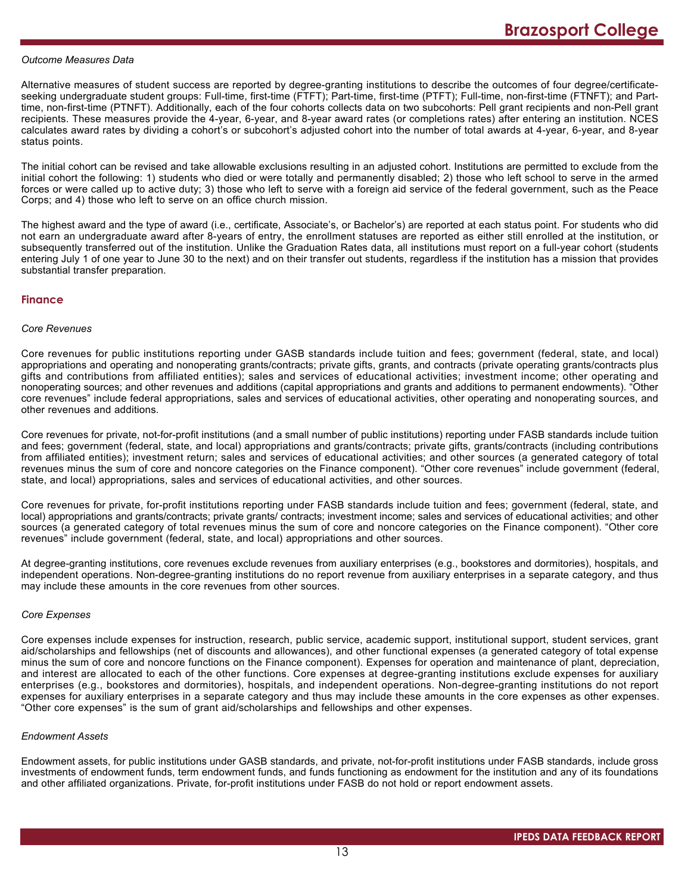#### *Outcome Measures Data*

Alternative measures of student success are reported by degree-granting institutions to describe the outcomes of four degree/certificateseeking undergraduate student groups: Full-time, first-time (FTFT); Part-time, first-time (PTFT); Full-time, non-first-time (FTNFT); and Parttime, non-first-time (PTNFT). Additionally, each of the four cohorts collects data on two subcohorts: Pell grant recipients and non-Pell grant recipients. These measures provide the 4-year, 6-year, and 8-year award rates (or completions rates) after entering an institution. NCES calculates award rates by dividing a cohort's or subcohort's adjusted cohort into the number of total awards at 4-year, 6-year, and 8-year status points.

The initial cohort can be revised and take allowable exclusions resulting in an adjusted cohort. Institutions are permitted to exclude from the initial cohort the following: 1) students who died or were totally and permanently disabled; 2) those who left school to serve in the armed forces or were called up to active duty; 3) those who left to serve with a foreign aid service of the federal government, such as the Peace Corps; and 4) those who left to serve on an office church mission.

The highest award and the type of award (i.e., certificate, Associate's, or Bachelor's) are reported at each status point. For students who did not earn an undergraduate award after 8-years of entry, the enrollment statuses are reported as either still enrolled at the institution, or subsequently transferred out of the institution. Unlike the Graduation Rates data, all institutions must report on a full-year cohort (students entering July 1 of one year to June 30 to the next) and on their transfer out students, regardless if the institution has a mission that provides substantial transfer preparation.

#### **Finance**

#### *Core Revenues*

Core revenues for public institutions reporting under GASB standards include tuition and fees; government (federal, state, and local) appropriations and operating and nonoperating grants/contracts; private gifts, grants, and contracts (private operating grants/contracts plus gifts and contributions from affiliated entities); sales and services of educational activities; investment income; other operating and nonoperating sources; and other revenues and additions (capital appropriations and grants and additions to permanent endowments). "Other core revenues" include federal appropriations, sales and services of educational activities, other operating and nonoperating sources, and other revenues and additions.

Core revenues for private, not-for-profit institutions (and a small number of public institutions) reporting under FASB standards include tuition and fees; government (federal, state, and local) appropriations and grants/contracts; private gifts, grants/contracts (including contributions from affiliated entities); investment return; sales and services of educational activities; and other sources (a generated category of total revenues minus the sum of core and noncore categories on the Finance component). "Other core revenues" include government (federal, state, and local) appropriations, sales and services of educational activities, and other sources.

Core revenues for private, for-profit institutions reporting under FASB standards include tuition and fees; government (federal, state, and local) appropriations and grants/contracts; private grants/ contracts; investment income; sales and services of educational activities; and other sources (a generated category of total revenues minus the sum of core and noncore categories on the Finance component). "Other core revenues" include government (federal, state, and local) appropriations and other sources.

At degree-granting institutions, core revenues exclude revenues from auxiliary enterprises (e.g., bookstores and dormitories), hospitals, and independent operations. Non-degree-granting institutions do no report revenue from auxiliary enterprises in a separate category, and thus may include these amounts in the core revenues from other sources.

#### *Core Expenses*

Core expenses include expenses for instruction, research, public service, academic support, institutional support, student services, grant aid/scholarships and fellowships (net of discounts and allowances), and other functional expenses (a generated category of total expense minus the sum of core and noncore functions on the Finance component). Expenses for operation and maintenance of plant, depreciation, and interest are allocated to each of the other functions. Core expenses at degree-granting institutions exclude expenses for auxiliary enterprises (e.g., bookstores and dormitories), hospitals, and independent operations. Non-degree-granting institutions do not report expenses for auxiliary enterprises in a separate category and thus may include these amounts in the core expenses as other expenses. "Other core expenses" is the sum of grant aid/scholarships and fellowships and other expenses.

#### *Endowment Assets*

Endowment assets, for public institutions under GASB standards, and private, not-for-profit institutions under FASB standards, include gross investments of endowment funds, term endowment funds, and funds functioning as endowment for the institution and any of its foundations and other affiliated organizations. Private, for-profit institutions under FASB do not hold or report endowment assets.